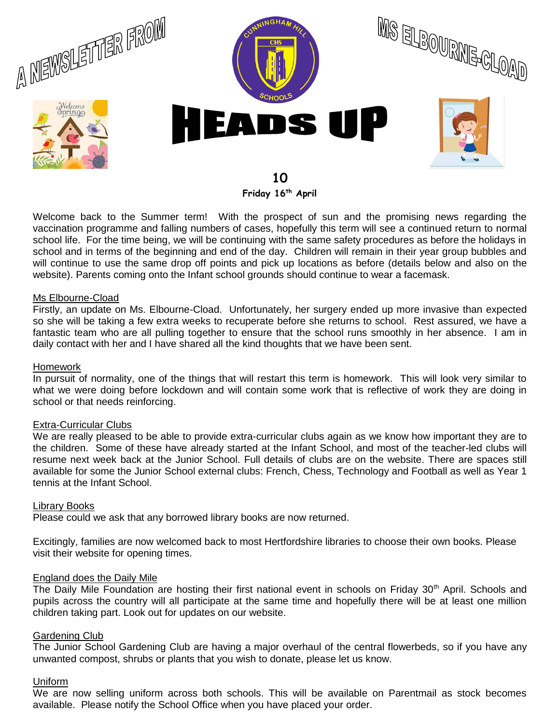

**Friday 16th April**

Welcome back to the Summer term! With the prospect of sun and the promising news regarding the vaccination programme and falling numbers of cases, hopefully this term will see a continued return to normal school life. For the time being, we will be continuing with the same safety procedures as before the holidays in school and in terms of the beginning and end of the day. Children will remain in their year group bubbles and will continue to use the same drop off points and pick up locations as before (details below and also on the website). Parents coming onto the Infant school grounds should continue to wear a facemask.

### Ms Elbourne-Cload

Firstly, an update on Ms. Elbourne-Cload. Unfortunately, her surgery ended up more invasive than expected so she will be taking a few extra weeks to recuperate before she returns to school. Rest assured, we have a fantastic team who are all pulling together to ensure that the school runs smoothly in her absence. I am in daily contact with her and I have shared all the kind thoughts that we have been sent.

### Homework

In pursuit of normality, one of the things that will restart this term is homework. This will look very similar to what we were doing before lockdown and will contain some work that is reflective of work they are doing in school or that needs reinforcing.

# Extra-Curricular Clubs

We are really pleased to be able to provide extra-curricular clubs again as we know how important they are to the children. Some of these have already started at the Infant School, and most of the teacher-led clubs will resume next week back at the Junior School. Full details of clubs are on the website. There are spaces still available for some the Junior School external clubs: French, Chess, Technology and Football as well as Year 1 tennis at the Infant School.

#### Library Books

Please could we ask that any borrowed library books are now returned.

Excitingly, families are now welcomed back to most Hertfordshire libraries to choose their own books. Please visit their website for opening times.

#### England does the Daily Mile

The Daily Mile Foundation are hosting their first national event in schools on Friday 30<sup>th</sup> April. Schools and pupils across the country will all participate at the same time and hopefully there will be at least one million children taking part. Look out for updates on our website.

#### Gardening Club

The Junior School Gardening Club are having a major overhaul of the central flowerbeds, so if you have any unwanted compost, shrubs or plants that you wish to donate, please let us know.

# Uniform

We are now selling uniform across both schools. This will be available on Parentmail as stock becomes available. Please notify the School Office when you have placed your order.